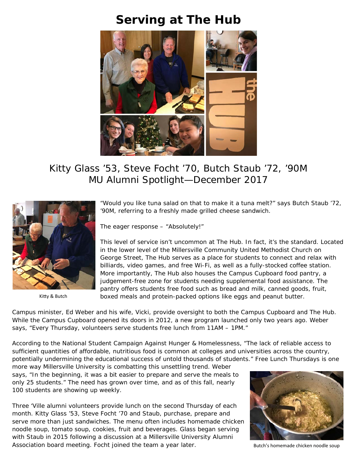## **Serving at The Hub**



## Kitty Glass '53, Steve Focht '70, Butch Staub '72, '90M MU Alumni Spotlight—December 2017



Kitty & Butch

"Would you like tuna salad on that to make it a tuna melt?" says Butch Staub '72, '90M, referring to a freshly made grilled cheese sandwich.

The eager response – "Absolutely!"

This level of service isn't uncommon at The Hub. In fact, it's the standard. Located in the lower level of the Millersville Community United Methodist Church on George Street, The Hub serves as a place for students to connect and relax with billiards, video games, and free Wi-Fi, as well as a fully-stocked coffee station. More importantly, The Hub also houses the Campus Cupboard food pantry, a judgement-free zone for students needing supplemental food assistance. The pantry offers students free food such as bread and milk, canned goods, fruit, boxed meals and protein-packed options like eggs and peanut butter.

Campus minister, Ed Weber and his wife, Vicki, provide oversight to both the Campus Cupboard and The Hub. While the Campus Cupboard opened its doors in 2012, a new program launched only two years ago. Weber says, "Every Thursday, volunteers serve students free lunch from 11AM – 1PM."

According to the National Student Campaign Against Hunger & Homelessness, "The lack of reliable access to sufficient quantities of affordable, nutritious food is common at colleges and universities across the country, potentially undermining the educational success of untold thousands of students." Free Lunch Thursdays is one

more way Millersville University is combatting this unsettling trend. Weber says, "In the beginning, it was a bit easier to prepare and serve the meals to only 25 students." The need has grown over time, and as of this fall, nearly 100 students are showing up weekly.

Three 'Ville alumni volunteers provide lunch on the second Thursday of each month. Kitty Glass '53, Steve Focht '70 and Staub, purchase, prepare and serve more than just sandwiches. The menu often includes homemade chicken noodle soup, tomato soup, cookies, fruit and beverages. Glass began serving with Staub in 2015 following a discussion at a Millersville University Alumni Association board meeting. Focht joined the team a year later.



Butch's homemade chicken noodle soup